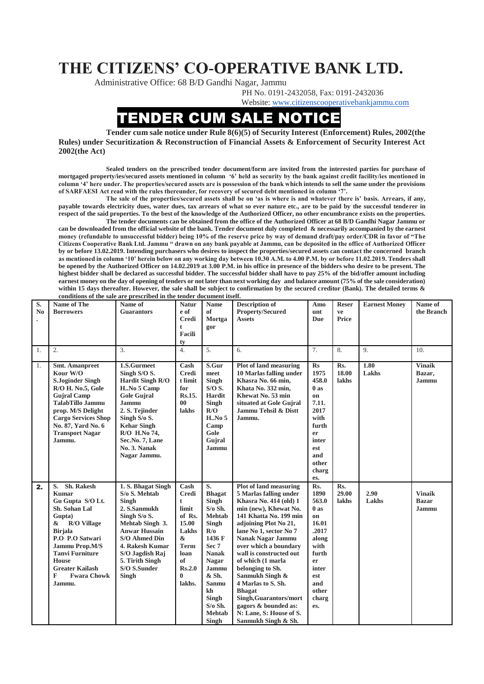## **THE CITIZENS' CO-OPERATIVE BANK LTD.**

Administrative Office: 68 B/D Gandhi Nagar, Jammu

PH No. 0191-2432058, Fax: 0191-2432036

Website: [www.citizenscooperativebankjammu.com](http://www.citizenscooperativebankjammu.com/)

## **IDER CUM SALE NOTICE**

**Tender cum sale notice under Rule 8(6)(5) of Security Interest (Enforcement) Rules, 2002(the Rules) under Securitization & Reconstruction of Financial Assets & Enforcement of Security Interest Act 2002(the Act)**

**Sealed tenders on the prescribed tender document/form are invited from the interested parties for purchase of mortgaged property/ies/secured assets mentioned in column '6' held as security by the bank against credit facility/ies mentioned in column '4' here under. The properties/secured assets are is possession of the bank which intends to sell the same under the provisions of SARFAESI Act read with the rules thereunder, for recovery of secured debt mentioned in column '7'.**

**The sale of the properties/secured assets shall be on 'as is where is and whatever there is' basis. Arrears, if any, payable towards electricity dues, water dues, tax arrears of what so ever nature etc., are to be paid by the successful tenderer in respect of the said properties. To the best of the knowledge of the Authorized Officer, no other encumbrance exists on the properties.**

**The tender documents can be obtained from the office of the Authorized Officer at 68 B/D Gandhi Nagar Jammu or can be downloaded from the official website of the bank. Tender document duly completed & necessarily accompanied by the earnest money (refundable to unsuccessful bidder) being 10% of the reserve price by way of demand draft/pay order/CDR in favor of "The Citizens Cooperative Bank Ltd. Jammu " drawn on any bank payable at Jammu, can be deposited in the office of Authorized Officer by or before 13.02.2019. Intending purchasers who desires to inspect the properties/secured assets can contact the concerned branch as mentioned in column '10' herein below on any working day between 10.30 A.M. to 4.00 P.M. by or before 11.02.2019. Tenders shall be opened by the Authorized Officer on 14.02.2019 at 3.00 P.M. in his office in presence of the bidders who desire to be present. The highest bidder shall be declared as successful bidder. The successful bidder shall have to pay 25% of the bid/offer amount including earnest money on the day of opening of tenders or not later than next working day and balance amount (75% of the sale consideration) within 15 days thereafter. However, the sale shall be subject to confirmation by the secured creditor (Bank). The detailed terms & conditions of the sale are prescribed in the tender document itself.**

| S.<br>N <sub>0</sub> | Name of The<br><b>Borrowers</b>                                                                                                                                                                                                                                            | Name of<br><b>Guarantors</b>                                                                                                                                                                                               | <b>Natur</b><br>e of<br><b>Credi</b><br>t<br>Facili<br>tv                                                                                     | <b>Name</b><br>of<br>Mortga<br>gor                                                                                                                                                                                      | <b>Description of</b><br><b>Property/Secured</b><br><b>Assets</b>                                                                                                                                                                                                                                                                                                                                                                                                              | Amo<br>unt<br><b>Due</b>                                                                                                               | <b>Reser</b><br>ve<br>Price  | <b>Earnest Money</b> | Name of<br>the Branch                  |
|----------------------|----------------------------------------------------------------------------------------------------------------------------------------------------------------------------------------------------------------------------------------------------------------------------|----------------------------------------------------------------------------------------------------------------------------------------------------------------------------------------------------------------------------|-----------------------------------------------------------------------------------------------------------------------------------------------|-------------------------------------------------------------------------------------------------------------------------------------------------------------------------------------------------------------------------|--------------------------------------------------------------------------------------------------------------------------------------------------------------------------------------------------------------------------------------------------------------------------------------------------------------------------------------------------------------------------------------------------------------------------------------------------------------------------------|----------------------------------------------------------------------------------------------------------------------------------------|------------------------------|----------------------|----------------------------------------|
| 1.                   | $\overline{2}$ .                                                                                                                                                                                                                                                           | 3.                                                                                                                                                                                                                         | $\overline{4}$ .                                                                                                                              | 5.                                                                                                                                                                                                                      | 6.                                                                                                                                                                                                                                                                                                                                                                                                                                                                             | 7.                                                                                                                                     | 8.                           | $\mathbf{Q}$         | 10.                                    |
| 1.                   | <b>Smt. Amanpreet</b><br>Kour W/O<br><b>S.Joginder Singh</b><br>R/O H. No.5, Gole<br><b>Gujral Camp</b><br><b>TalabTillo Jammu</b><br>prop. M/S Delight<br><b>Cargo Services Shop</b><br>No. 87, Yard No. 6<br><b>Transport Nagar</b><br>Jammu.                            | 1.S.Gurmeet<br>Singh S/O S.<br>Hardit Singh R/O<br>H. No 5 Camp<br><b>Gole Guiral</b><br>Jammu<br>2. S. Tejinder<br>Singh S/o S.<br><b>Kehar Singh</b><br>R/O H.No 74,<br>Sec.No. 7, Lane<br>No. 3. Nanak<br>Nagar Jammu.  | Cash<br><b>Credi</b><br>t limit<br>for<br>Rs.15.<br>00 <sup>°</sup><br>lakhs                                                                  | S.Gur<br>meet<br>Singh<br>$S/OS$ .<br>Hardit<br>Singh<br>R/O<br>HNo 5<br>Camp<br>Gole<br>Gujral<br>Jammu                                                                                                                | <b>Plot of land measuring</b><br>10 Marlas falling under<br>Khasra No. 66 min,<br>Khata No. 332 min,<br>Khewat No. 53 min<br>situated at Gole Gujral<br>Jammu Tehsil & Distt<br>Jammu.                                                                                                                                                                                                                                                                                         | $\mathbf{R}s$<br>1975<br>458.0<br>0as<br>on<br>7.11.<br>2017<br>with<br>furth<br>er<br>inter<br>est<br>and<br>other<br>charg<br>es.    | Rs.<br>18.00<br><b>lakhs</b> | 1.80<br>Lakhs        | <b>Vinaik</b><br>Bazar,<br>Jammu       |
| 2.                   | Sh. Rakesh<br>S.<br><b>Kumar</b><br>Gu Gupta S/O Lt.<br>Sh. Sohan Lal<br>Gupta)<br><b>R/O Village</b><br>&<br><b>Birjala</b><br>P.O P.O Satwari<br>Jammu Prop.M/S<br><b>Tanvi Furniture</b><br><b>House</b><br><b>Greater Kailash</b><br>F<br><b>Fwara Chowk</b><br>Jammu. | 1. S. Bhagat Singh<br>S/o S. Mehtab<br>Singh<br>2. S.Sanmukh<br>Singh S/o S.<br>Mehtab Singh 3.<br><b>Anwar Hussain</b><br>S/O Ahmed Din<br>4. Rakesh Kumar<br>S/O Jagdish Raj<br>5. Tirith Singh<br>S/O S.Sunder<br>Singh | Cash<br><b>Credi</b><br>$\mathbf t$<br>limit<br>of Rs.<br>15.00<br>Lakhs<br>$\&$<br><b>Term</b><br>loan<br>of<br>Rs.2.0<br>$\bf{0}$<br>lakhs. | S.<br><b>Bhagat</b><br>Singh<br>$S$ /o Sh.<br><b>Mehtab</b><br>Singh<br>R/0<br>1436 F<br>Sec 7<br><b>Nanak</b><br><b>Nagar</b><br>Jammu<br>& Sh.<br>Sanmu<br>kh<br>Singh<br>$S$ /o Sh.<br><b>Mehtab</b><br><b>Singh</b> | <b>Plot of land measuring</b><br>5 Marlas falling under<br>Khasra No. 414 (old) 1<br>min (new), Khewat No.<br>141 Khatta No. 199 min<br>adjoining Plot No 21,<br>lane No 1, sector No 7<br><b>Nanak Nagar Jammu</b><br>over which a boundary<br>wall is constructed out<br>of which (1 marla<br>belonging to Sh.<br>Sanmukh Singh &<br>4 Marlas to S. Sh.<br><b>Bhagat</b><br>Singh, Guarantors/mort<br>gagors & bounded as:<br>N: Lane, S: House of S.<br>Sanmukh Singh & Sh. | Rs.<br>1890<br>563.0<br>$0$ as<br>on<br>16.01<br>.2017<br>along<br>with<br>furth<br>er<br>inter<br>est<br>and<br>other<br>charg<br>es. | Rs.<br>29.00<br>lakhs        | 2.90<br>Lakhs        | <b>Vinaik</b><br><b>Bazar</b><br>Jammu |